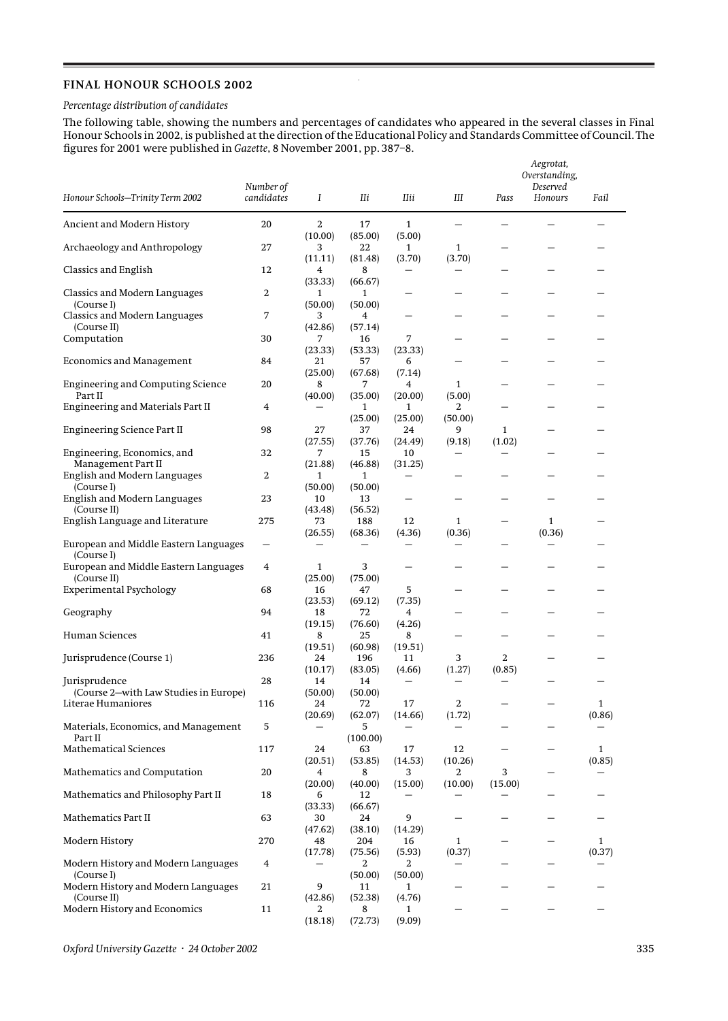## **FINAL HONOUR SCHOOLS 2002**

## *Percentage distribution of candidates*

The following table, showing the numbers and percentages of candidates who appeared in the several classes in Final Honour Schools in 2002, is published at the direction of the Educational Policy and Standards Committee of Council. The figures for 2001 were published in *Gazette*, 8 November 2001, pp. 387–8.

l.

|                                                             | Number of         |                          |                           |                             |                                    | Aegrotat,<br>Overstanding,<br>Deserved |             |              |
|-------------------------------------------------------------|-------------------|--------------------------|---------------------------|-----------------------------|------------------------------------|----------------------------------------|-------------|--------------|
| Honour Schools-Trinity Term 2002                            | candidates        | Ι                        | IIi                       | IIii                        | Ш                                  | Pass                                   | Honours     | Fail         |
| Ancient and Modern History                                  | 20                | 2<br>(10.00)             | 17<br>(85.00)             | $\mathbf{1}$<br>(5.00)      |                                    |                                        |             |              |
| Archaeology and Anthropology                                | 27                | 3<br>(11.11)             | 22<br>(81.48)             | $\mathbf{1}$<br>(3.70)      | $\mathbf{1}$<br>(3.70)             |                                        |             |              |
| <b>Classics and English</b>                                 | 12                | 4<br>(33.33)             | 8<br>(66.67)              |                             |                                    |                                        |             |              |
| Classics and Modern Languages<br>(Course I)                 | 2                 | 1<br>(50.00)             | 1<br>(50.00)              |                             |                                    |                                        |             |              |
| Classics and Modern Languages<br>(Course II)                | 7                 | 3<br>(42.86)             | 4<br>(57.14)              | -                           |                                    |                                        |             |              |
| Computation                                                 | 30                | 7<br>(23.33)             | 16<br>(53.33)             | 7<br>(23.33)                |                                    |                                        |             |              |
| <b>Economics and Management</b>                             | 84                | 21<br>(25.00)            | 57<br>(67.68)             | 6<br>(7.14)                 |                                    |                                        |             |              |
| <b>Engineering and Computing Science</b><br>Part II         | 20                | 8<br>(40.00)             | 7<br>(35.00)              | 4<br>(20.00)                | 1<br>(5.00)                        |                                        |             |              |
| Engineering and Materials Part II                           | 4                 |                          | 1                         | 1                           | 2                                  |                                        |             |              |
| <b>Engineering Science Part II</b>                          | 98                | 27                       | (25.00)<br>37             | (25.00)<br>24               | (50.00)<br>9                       | $\mathbf{1}$                           |             |              |
| Engineering, Economics, and                                 | 32                | (27.55)<br>7             | (37.76)<br>15             | (24.49)<br>10               | (9.18)<br>$\overline{\phantom{0}}$ | (1.02)                                 |             |              |
| Management Part II<br>English and Modern Languages          | 2                 | (21.88)<br>1             | (46.88)<br>$\mathbf{1}$   | (31.25)                     |                                    |                                        |             |              |
| (Course I)<br>English and Modern Languages<br>(Course II)   | 23                | (50.00)<br>10            | (50.00)<br>13             |                             |                                    |                                        |             |              |
| English Language and Literature                             | 275               | (43.48)<br>73<br>(26.55) | (56.52)<br>188<br>(68.36) | 12<br>(4.36)                | 1<br>(0.36)                        |                                        | 1<br>(0.36) |              |
| European and Middle Eastern Languages<br>(Course I)         | $\qquad \qquad -$ |                          |                           |                             |                                    |                                        |             |              |
| European and Middle Eastern Languages<br>(Course II)        | 4                 | $\mathbf{1}$<br>(25.00)  | 3<br>(75.00)              |                             |                                    |                                        |             |              |
| <b>Experimental Psychology</b>                              | 68                | 16                       | 47                        | 5                           |                                    |                                        |             |              |
| Geography                                                   | 94                | (23.53)<br>18<br>(19.15) | (69.12)<br>72<br>(76.60)  | (7.35)<br>4<br>(4.26)       |                                    |                                        |             |              |
| Human Sciences                                              | 41                | 8                        | 25                        | 8<br>(19.51)                |                                    |                                        |             |              |
| Jurisprudence (Course 1)                                    | 236               | (19.51)<br>24            | (60.98)<br>196            | 11                          | 3                                  | 2                                      |             |              |
| Jurisprudence                                               | 28                | (10.17)<br>14            | (83.05)<br>14             | (4.66)<br>$\qquad \qquad -$ | (1.27)<br>—                        | (0.85)<br>—                            |             |              |
| (Course 2-with Law Studies in Europe)<br>Literae Humaniores | 116               | (50.00)<br>24            | (50.00)<br>72             | 17                          | 2                                  |                                        |             | $\mathbf{1}$ |
| Materials, Economics, and Management                        | 5                 | (20.69)<br>—             | (62.07)<br>5              | (14.66)                     | (1.72)                             |                                        |             | (0.86)       |
| Part II<br>Mathematical Sciences                            | 117               | 24                       | (100.00)<br>63            | 17                          | 12                                 |                                        |             | $\mathbf{1}$ |
| Mathematics and Computation                                 | 20                | (20.51)<br>4             | (53.85)<br>8              | (14.53)<br>3                | (10.26)<br>2                       | 3                                      |             | (0.85)       |
| Mathematics and Philosophy Part II                          | 18                | (20.00)<br>6             | (40.00)<br>12             | (15.00)                     | (10.00)                            | (15.00)                                |             |              |
| Mathematics Part II                                         | 63                | (33.33)<br>30            | (66.67)<br>24             | 9                           |                                    |                                        |             |              |
| Modern History                                              | 270               | (47.62)<br>48            | (38.10)<br>204            | (14.29)<br>16               | $\mathbf{1}$                       |                                        | —           | $\mathbf{1}$ |
| Modern History and Modern Languages                         | 4                 | (17.78)                  | (75.56)<br>2              | (5.93)<br>2                 | (0.37)                             |                                        |             | (0.37)       |
| (Course I)<br>Modern History and Modern Languages           | 21                | 9                        | (50.00)<br>11             | (50.00)<br>1                |                                    |                                        |             |              |
| (Course II)<br>Modern History and Economics                 | 11                | (42.86)<br>2             | (52.38)<br>8              | (4.76)<br>1                 |                                    |                                        |             |              |
|                                                             |                   | (18.18)                  | (72.73)                   | (9.09)                      |                                    |                                        |             |              |